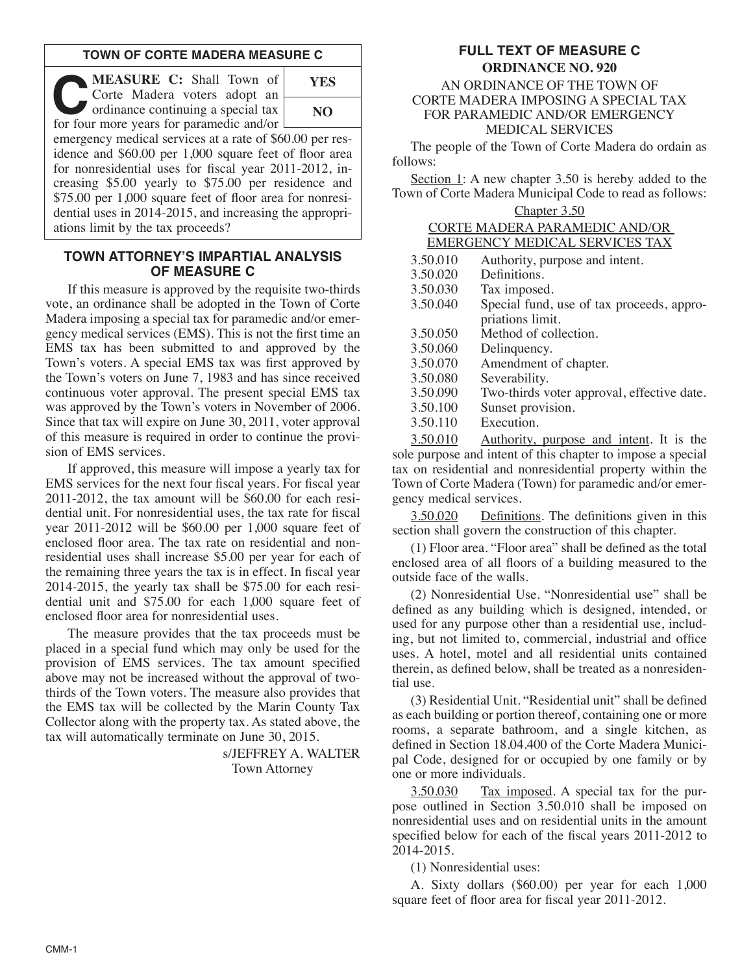### **TOWN OF CORTE MADERA MEASURE C**

**C C:** Shall Town of Corte Madera voters adopt an ordinance continuing a special tax Corte Madera voters adopt an for four more years for paramedic and/or **YES**

**NO**

emergency medical services at a rate of \$60.00 per residence and \$60.00 per 1,000 square feet of floor area for nonresidential uses for fiscal year 2011-2012, increasing \$5.00 yearly to \$75.00 per residence and \$75.00 per 1,000 square feet of floor area for nonresidential uses in 2014-2015, and increasing the appropriations limit by the tax proceeds?

#### **TOWN ATTORNEY'S IMPARTIAL ANALYSIS OF MEASURE C**

If this measure is approved by the requisite two-thirds vote, an ordinance shall be adopted in the Town of Corte Madera imposing a special tax for paramedic and/or emergency medical services (EMS). This is not the first time an EMS tax has been submitted to and approved by the Town's voters. A special EMS tax was first approved by the Town's voters on June 7, 1983 and has since received continuous voter approval. The present special EMS tax was approved by the Town's voters in November of 2006. Since that tax will expire on June 30, 2011, voter approval of this measure is required in order to continue the provision of EMS services.

If approved, this measure will impose a yearly tax for EMS services for the next four fiscal years. For fiscal year 2011-2012, the tax amount will be \$60.00 for each residential unit. For nonresidential uses, the tax rate for fiscal year 2011-2012 will be \$60.00 per 1,000 square feet of enclosed floor area. The tax rate on residential and nonresidential uses shall increase \$5.00 per year for each of the remaining three years the tax is in effect. In fiscal year 2014-2015, the yearly tax shall be \$75.00 for each residential unit and \$75.00 for each 1,000 square feet of enclosed floor area for nonresidential uses.

The measure provides that the tax proceeds must be placed in a special fund which may only be used for the provision of EMS services. The tax amount specified above may not be increased without the approval of twothirds of the Town voters. The measure also provides that the EMS tax will be collected by the Marin County Tax Collector along with the property tax. As stated above, the tax will automatically terminate on June 30, 2015.

> s/JEFFREY A. WALTER Town Attorney

# **FULL TEXT OF MEASURE C**

### **ORDINANCE NO. 920** AN ORDINANCE OF THE TOWN OF CORTE MADERA IMPOSING A SPECIAL TAX FOR PARAMEDIC AND/OR EMERGENCY MEDICAL SERVICES

The people of the Town of Corte Madera do ordain as follows:

Section 1: A new chapter 3.50 is hereby added to the Town of Corte Madera Municipal Code to read as follows:

| $\therefore$ hapter 3 |  |  |
|-----------------------|--|--|
|                       |  |  |

| CORTE MADERA PARAMEDIC AND/OR  |  |
|--------------------------------|--|
| EMERGENCY MEDICAL SERVICES TAX |  |

| 3.50.010 | Authority, purpose and intent.             |
|----------|--------------------------------------------|
| 3.50.020 | Definitions.                               |
| 3.50.030 | Tax imposed.                               |
| 3.50.040 | Special fund, use of tax proceeds, appro-  |
|          | priations limit.                           |
| 3.50.050 | Method of collection.                      |
| 3.50.060 | Delinquency.                               |
| 3.50.070 | Amendment of chapter.                      |
| 3.50.080 | Severability.                              |
| 3.50.090 | Two-thirds voter approval, effective date. |
| 3.50.100 | Sunset provision.                          |
| 3.50.110 | Execution.                                 |
|          |                                            |

3.50.010 Authority, purpose and intent. It is the sole purpose and intent of this chapter to impose a special tax on residential and nonresidential property within the Town of Corte Madera (Town) for paramedic and/or emergency medical services.

3.50.020 Definitions. The definitions given in this section shall govern the construction of this chapter.

(1) Floor area. "Floor area" shall be defined as the total enclosed area of all floors of a building measured to the outside face of the walls.

(2) Nonresidential Use. "Nonresidential use" shall be defined as any building which is designed, intended, or used for any purpose other than a residential use, including, but not limited to, commercial, industrial and office uses. A hotel, motel and all residential units contained therein, as defined below, shall be treated as a nonresidential use.

(3) Residential Unit. "Residential unit" shall be defined as each building or portion thereof, containing one or more rooms, a separate bathroom, and a single kitchen, as defined in Section 18.04.400 of the Corte Madera Municipal Code, designed for or occupied by one family or by one or more individuals.

3.50.030 Tax imposed. A special tax for the purpose outlined in Section 3.50.010 shall be imposed on nonresidential uses and on residential units in the amount specified below for each of the fiscal years 2011-2012 to 2014-2015.

(1) Nonresidential uses:

A. Sixty dollars (\$60.00) per year for each 1,000 square feet of floor area for fiscal year 2011-2012.